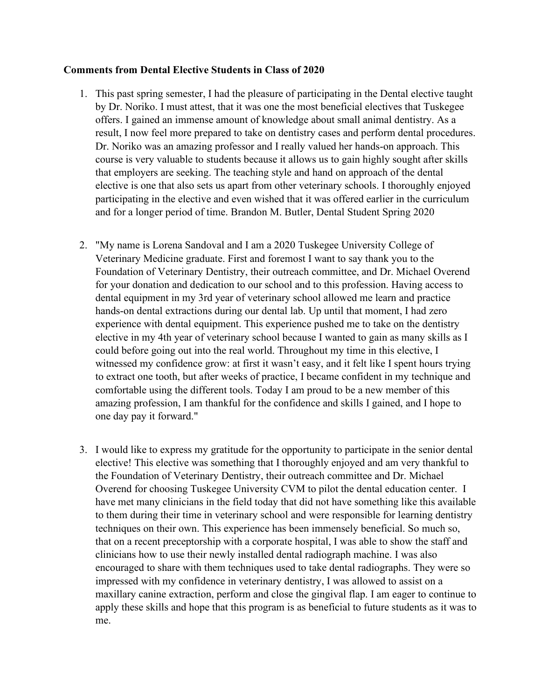## **Comments from Dental Elective Students in Class of 2020**

- 1. This past spring semester, I had the pleasure of participating in the Dental elective taught by Dr. Noriko. I must attest, that it was one the most beneficial electives that Tuskegee offers. I gained an immense amount of knowledge about small animal dentistry. As a result, I now feel more prepared to take on dentistry cases and perform dental procedures. Dr. Noriko was an amazing professor and I really valued her hands-on approach. This course is very valuable to students because it allows us to gain highly sought after skills that employers are seeking. The teaching style and hand on approach of the dental elective is one that also sets us apart from other veterinary schools. I thoroughly enjoyed participating in the elective and even wished that it was offered earlier in the curriculum and for a longer period of time. Brandon M. Butler, Dental Student Spring 2020
- 2. "My name is Lorena Sandoval and I am a 2020 Tuskegee University College of Veterinary Medicine graduate. First and foremost I want to say thank you to the Foundation of Veterinary Dentistry, their outreach committee, and Dr. Michael Overend for your donation and dedication to our school and to this profession. Having access to dental equipment in my 3rd year of veterinary school allowed me learn and practice hands-on dental extractions during our dental lab. Up until that moment, I had zero experience with dental equipment. This experience pushed me to take on the dentistry elective in my 4th year of veterinary school because I wanted to gain as many skills as I could before going out into the real world. Throughout my time in this elective, I witnessed my confidence grow: at first it wasn't easy, and it felt like I spent hours trying to extract one tooth, but after weeks of practice, I became confident in my technique and comfortable using the different tools. Today I am proud to be a new member of this amazing profession, I am thankful for the confidence and skills I gained, and I hope to one day pay it forward."
- 3. I would like to express my gratitude for the opportunity to participate in the senior dental elective! This elective was something that I thoroughly enjoyed and am very thankful to the Foundation of Veterinary Dentistry, their outreach committee and Dr. Michael Overend for choosing Tuskegee University CVM to pilot the dental education center. I have met many clinicians in the field today that did not have something like this available to them during their time in veterinary school and were responsible for learning dentistry techniques on their own. This experience has been immensely beneficial. So much so, that on a recent preceptorship with a corporate hospital, I was able to show the staff and clinicians how to use their newly installed dental radiograph machine. I was also encouraged to share with them techniques used to take dental radiographs. They were so impressed with my confidence in veterinary dentistry, I was allowed to assist on a maxillary canine extraction, perform and close the gingival flap. I am eager to continue to apply these skills and hope that this program is as beneficial to future students as it was to me.